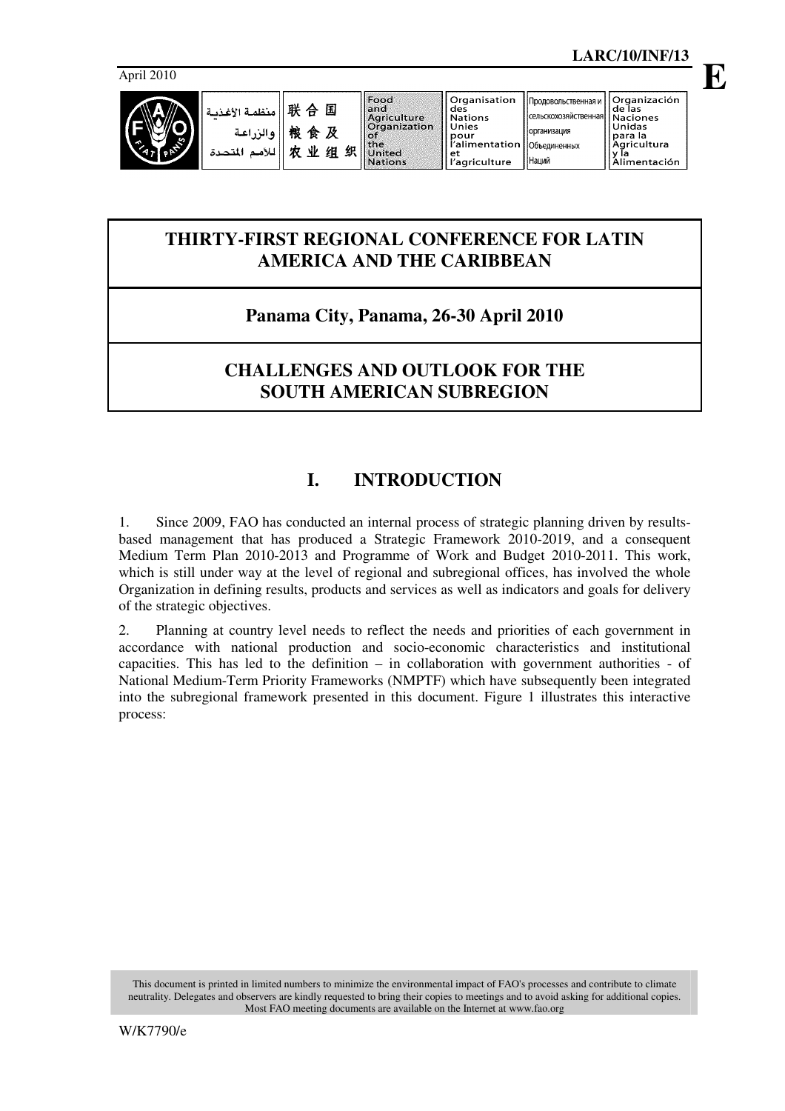**E**

April 2010



организация

Наций

## **THIRTY-FIRST REGIONAL CONFERENCE FOR LATIN AMERICA AND THE CARIBBEAN**

## **Panama City, Panama, 26-30 April 2010**

## **CHALLENGES AND OUTLOOK FOR THE SOUTH AMERICAN SUBREGION**

# **I. INTRODUCTION**

1. Since 2009, FAO has conducted an internal process of strategic planning driven by resultsbased management that has produced a Strategic Framework 2010-2019, and a consequent Medium Term Plan 2010-2013 and Programme of Work and Budget 2010-2011. This work, which is still under way at the level of regional and subregional offices, has involved the whole Organization in defining results, products and services as well as indicators and goals for delivery of the strategic objectives.

2. Planning at country level needs to reflect the needs and priorities of each government in accordance with national production and socio-economic characteristics and institutional capacities. This has led to the definition – in collaboration with government authorities - of National Medium-Term Priority Frameworks (NMPTF) which have subsequently been integrated into the subregional framework presented in this document. Figure 1 illustrates this interactive process:

This document is printed in limited numbers to minimize the environmental impact of FAO's processes and contribute to climate neutrality. Delegates and observers are kindly requested to bring their copies to meetings and to avoid asking for additional copies. Most FAO meeting documents are available on the Internet at www.fao.org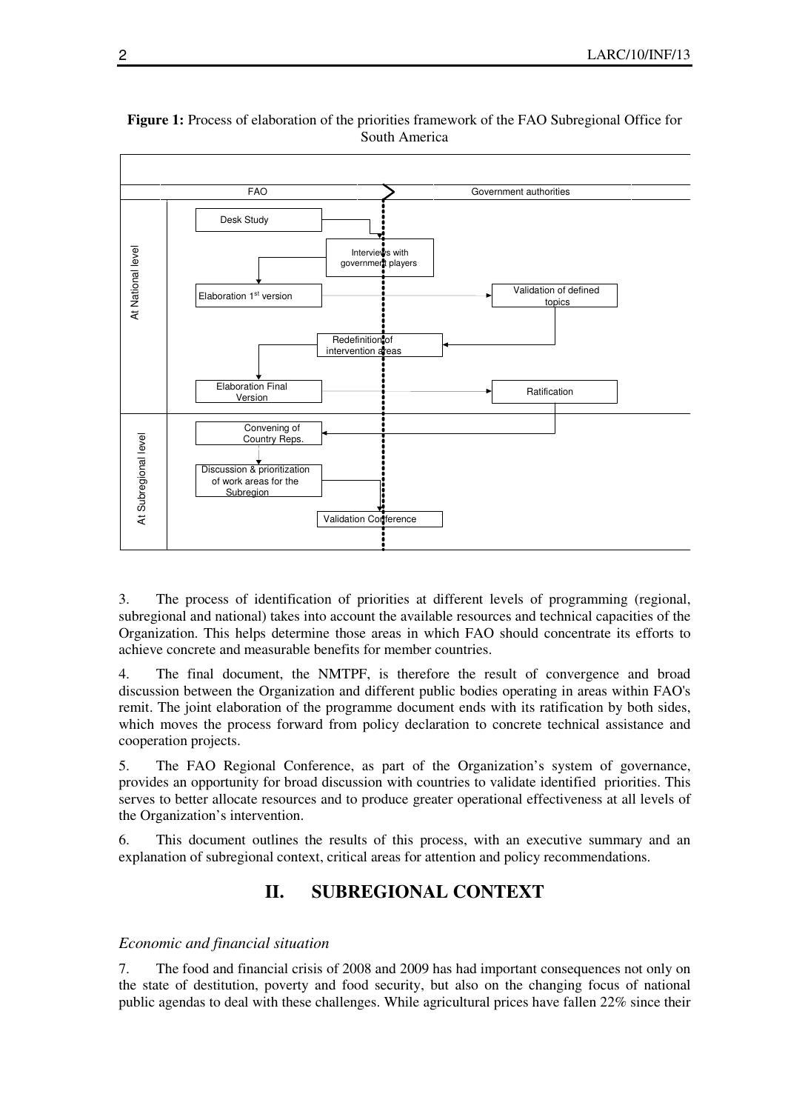

#### **Figure 1:** Process of elaboration of the priorities framework of the FAO Subregional Office for South America

3. The process of identification of priorities at different levels of programming (regional, subregional and national) takes into account the available resources and technical capacities of the Organization. This helps determine those areas in which FAO should concentrate its efforts to achieve concrete and measurable benefits for member countries.

4. The final document, the NMTPF, is therefore the result of convergence and broad discussion between the Organization and different public bodies operating in areas within FAO's remit. The joint elaboration of the programme document ends with its ratification by both sides, which moves the process forward from policy declaration to concrete technical assistance and cooperation projects.

5. The FAO Regional Conference, as part of the Organization's system of governance, provides an opportunity for broad discussion with countries to validate identified priorities. This serves to better allocate resources and to produce greater operational effectiveness at all levels of the Organization's intervention.

6. This document outlines the results of this process, with an executive summary and an explanation of subregional context, critical areas for attention and policy recommendations.

## **II. SUBREGIONAL CONTEXT**

#### *Economic and financial situation*

7. The food and financial crisis of 2008 and 2009 has had important consequences not only on the state of destitution, poverty and food security, but also on the changing focus of national public agendas to deal with these challenges. While agricultural prices have fallen 22% since their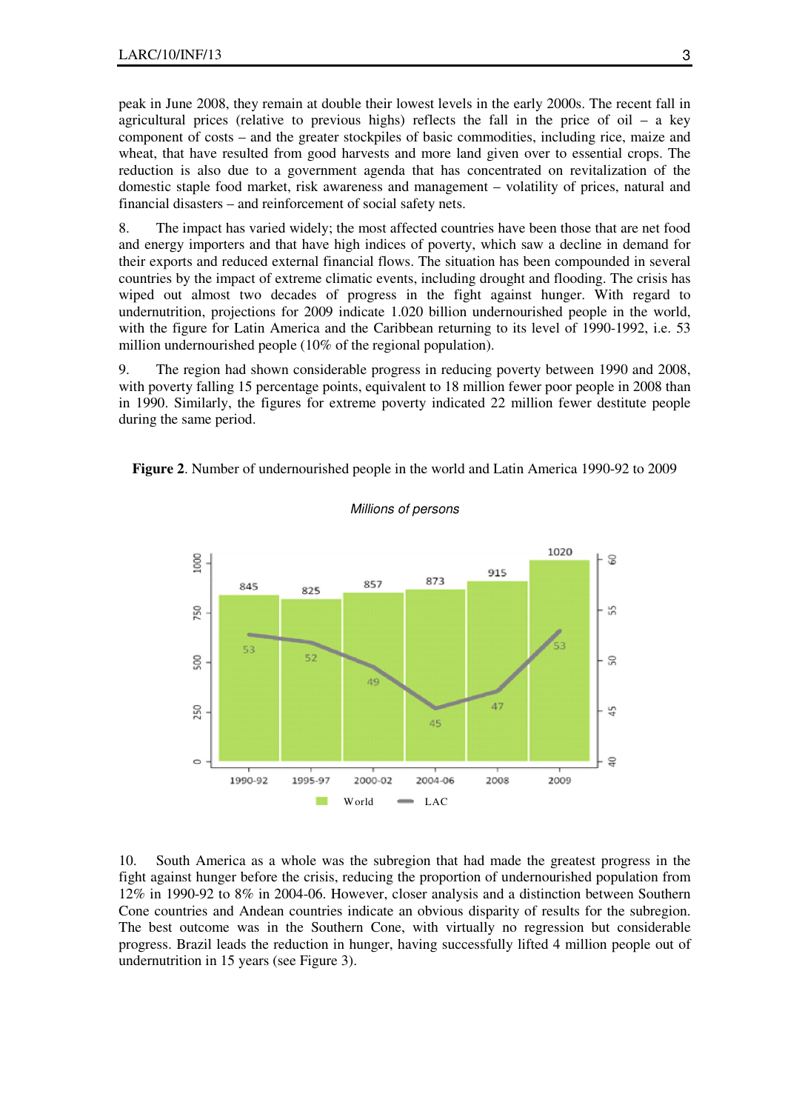peak in June 2008, they remain at double their lowest levels in the early 2000s. The recent fall in agricultural prices (relative to previous highs) reflects the fall in the price of oil – a key component of costs – and the greater stockpiles of basic commodities, including rice, maize and wheat, that have resulted from good harvests and more land given over to essential crops. The reduction is also due to a government agenda that has concentrated on revitalization of the domestic staple food market, risk awareness and management – volatility of prices, natural and financial disasters – and reinforcement of social safety nets.

8. The impact has varied widely; the most affected countries have been those that are net food and energy importers and that have high indices of poverty, which saw a decline in demand for their exports and reduced external financial flows. The situation has been compounded in several countries by the impact of extreme climatic events, including drought and flooding. The crisis has wiped out almost two decades of progress in the fight against hunger. With regard to undernutrition, projections for 2009 indicate 1.020 billion undernourished people in the world, with the figure for Latin America and the Caribbean returning to its level of 1990-1992, i.e. 53 million undernourished people (10% of the regional population).

9. The region had shown considerable progress in reducing poverty between 1990 and 2008, with poverty falling 15 percentage points, equivalent to 18 million fewer poor people in 2008 than in 1990. Similarly, the figures for extreme poverty indicated 22 million fewer destitute people during the same period.





#### Millions of persons

10. South America as a whole was the subregion that had made the greatest progress in the fight against hunger before the crisis, reducing the proportion of undernourished population from 12% in 1990-92 to 8% in 2004-06. However, closer analysis and a distinction between Southern Cone countries and Andean countries indicate an obvious disparity of results for the subregion. The best outcome was in the Southern Cone, with virtually no regression but considerable progress. Brazil leads the reduction in hunger, having successfully lifted 4 million people out of undernutrition in 15 years (see Figure 3).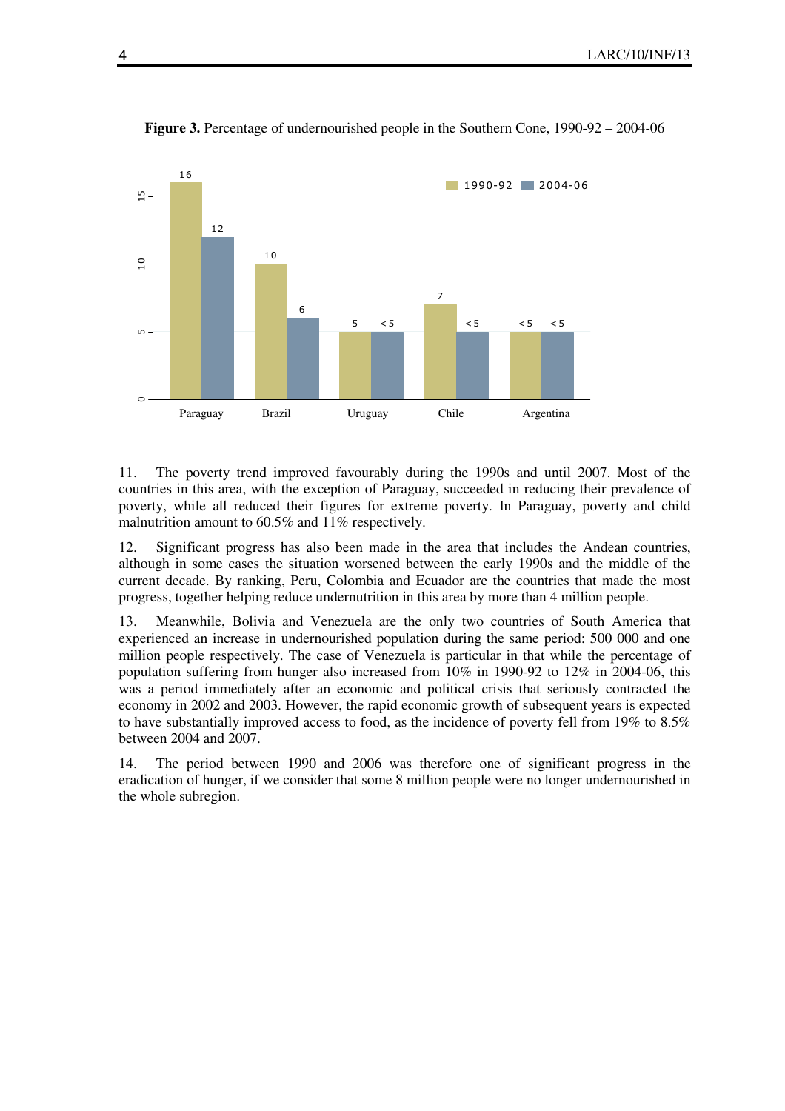

**Figure 3.** Percentage of undernourished people in the Southern Cone, 1990-92 – 2004-06

11. The poverty trend improved favourably during the 1990s and until 2007. Most of the countries in this area, with the exception of Paraguay, succeeded in reducing their prevalence of poverty, while all reduced their figures for extreme poverty. In Paraguay, poverty and child malnutrition amount to 60.5% and 11% respectively.

12. Significant progress has also been made in the area that includes the Andean countries, although in some cases the situation worsened between the early 1990s and the middle of the current decade. By ranking, Peru, Colombia and Ecuador are the countries that made the most progress, together helping reduce undernutrition in this area by more than 4 million people.

13. Meanwhile, Bolivia and Venezuela are the only two countries of South America that experienced an increase in undernourished population during the same period: 500 000 and one million people respectively. The case of Venezuela is particular in that while the percentage of population suffering from hunger also increased from 10% in 1990-92 to 12% in 2004-06, this was a period immediately after an economic and political crisis that seriously contracted the economy in 2002 and 2003. However, the rapid economic growth of subsequent years is expected to have substantially improved access to food, as the incidence of poverty fell from 19% to 8.5% between 2004 and 2007.

14. The period between 1990 and 2006 was therefore one of significant progress in the eradication of hunger, if we consider that some 8 million people were no longer undernourished in the whole subregion.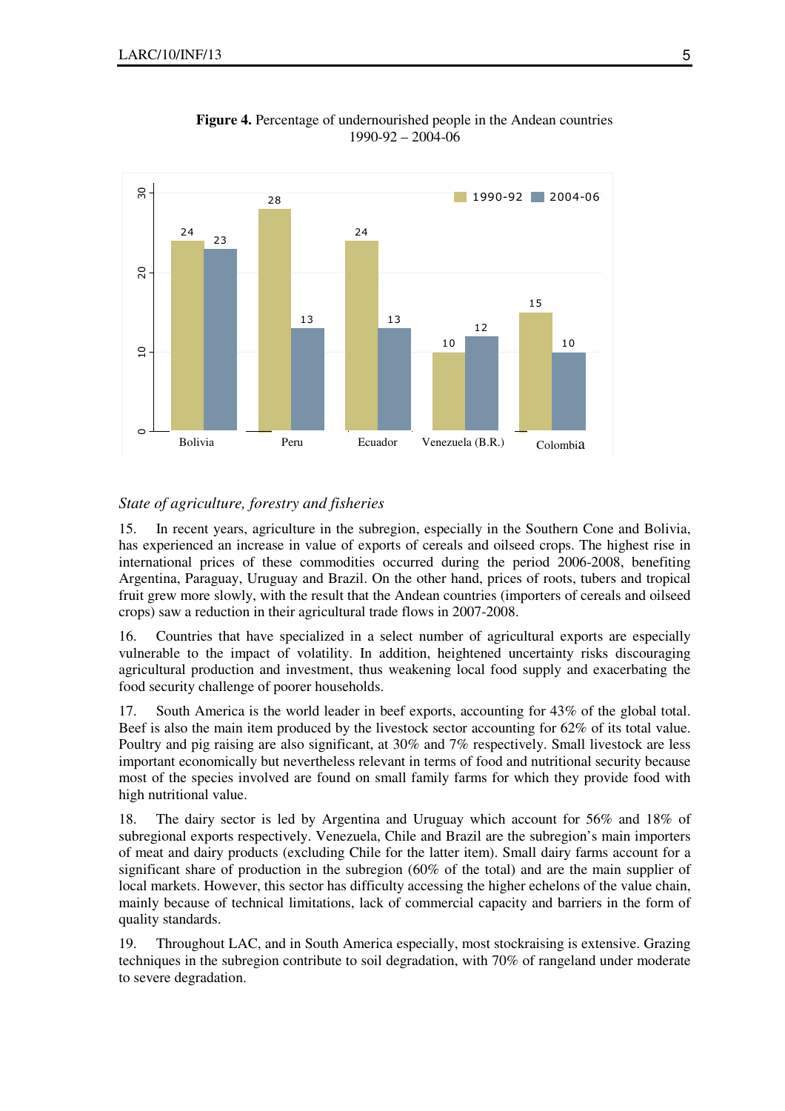

**Figure 4.** Percentage of undernourished people in the Andean countries 1990-92 – 2004-06

#### *State of agriculture, forestry and fisheries*

15. In recent years, agriculture in the subregion, especially in the Southern Cone and Bolivia, has experienced an increase in value of exports of cereals and oilseed crops. The highest rise in international prices of these commodities occurred during the period 2006-2008, benefiting Argentina, Paraguay, Uruguay and Brazil. On the other hand, prices of roots, tubers and tropical fruit grew more slowly, with the result that the Andean countries (importers of cereals and oilseed crops) saw a reduction in their agricultural trade flows in 2007-2008.

16. Countries that have specialized in a select number of agricultural exports are especially vulnerable to the impact of volatility. In addition, heightened uncertainty risks discouraging agricultural production and investment, thus weakening local food supply and exacerbating the food security challenge of poorer households.

17. South America is the world leader in beef exports, accounting for 43% of the global total. Beef is also the main item produced by the livestock sector accounting for 62% of its total value. Poultry and pig raising are also significant, at 30% and 7% respectively. Small livestock are less important economically but nevertheless relevant in terms of food and nutritional security because most of the species involved are found on small family farms for which they provide food with high nutritional value.

18. The dairy sector is led by Argentina and Uruguay which account for 56% and 18% of subregional exports respectively. Venezuela, Chile and Brazil are the subregion's main importers of meat and dairy products (excluding Chile for the latter item). Small dairy farms account for a significant share of production in the subregion (60% of the total) and are the main supplier of local markets. However, this sector has difficulty accessing the higher echelons of the value chain, mainly because of technical limitations, lack of commercial capacity and barriers in the form of quality standards.

19. Throughout LAC, and in South America especially, most stockraising is extensive. Grazing techniques in the subregion contribute to soil degradation, with 70% of rangeland under moderate to severe degradation.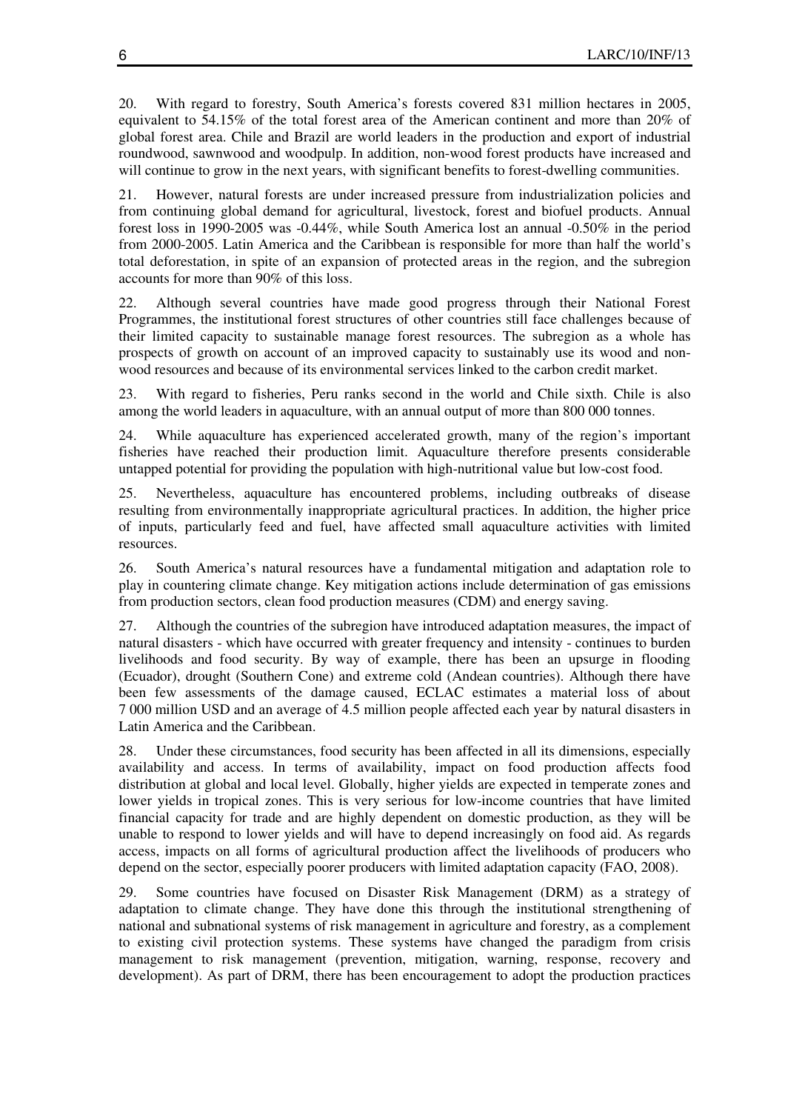20. With regard to forestry, South America's forests covered 831 million hectares in 2005, equivalent to 54.15% of the total forest area of the American continent and more than 20% of global forest area. Chile and Brazil are world leaders in the production and export of industrial roundwood, sawnwood and woodpulp. In addition, non-wood forest products have increased and will continue to grow in the next years, with significant benefits to forest-dwelling communities.

21. However, natural forests are under increased pressure from industrialization policies and from continuing global demand for agricultural, livestock, forest and biofuel products. Annual forest loss in 1990-2005 was -0.44%, while South America lost an annual -0.50% in the period from 2000-2005. Latin America and the Caribbean is responsible for more than half the world's total deforestation, in spite of an expansion of protected areas in the region, and the subregion accounts for more than 90% of this loss.

22. Although several countries have made good progress through their National Forest Programmes, the institutional forest structures of other countries still face challenges because of their limited capacity to sustainable manage forest resources. The subregion as a whole has prospects of growth on account of an improved capacity to sustainably use its wood and nonwood resources and because of its environmental services linked to the carbon credit market.

23. With regard to fisheries, Peru ranks second in the world and Chile sixth. Chile is also among the world leaders in aquaculture, with an annual output of more than 800 000 tonnes.

24. While aquaculture has experienced accelerated growth, many of the region's important fisheries have reached their production limit. Aquaculture therefore presents considerable untapped potential for providing the population with high-nutritional value but low-cost food.

25. Nevertheless, aquaculture has encountered problems, including outbreaks of disease resulting from environmentally inappropriate agricultural practices. In addition, the higher price of inputs, particularly feed and fuel, have affected small aquaculture activities with limited resources.

26. South America's natural resources have a fundamental mitigation and adaptation role to play in countering climate change. Key mitigation actions include determination of gas emissions from production sectors, clean food production measures (CDM) and energy saving.

27. Although the countries of the subregion have introduced adaptation measures, the impact of natural disasters - which have occurred with greater frequency and intensity - continues to burden livelihoods and food security. By way of example, there has been an upsurge in flooding (Ecuador), drought (Southern Cone) and extreme cold (Andean countries). Although there have been few assessments of the damage caused, ECLAC estimates a material loss of about 7 000 million USD and an average of 4.5 million people affected each year by natural disasters in Latin America and the Caribbean.

28. Under these circumstances, food security has been affected in all its dimensions, especially availability and access. In terms of availability, impact on food production affects food distribution at global and local level. Globally, higher yields are expected in temperate zones and lower yields in tropical zones. This is very serious for low-income countries that have limited financial capacity for trade and are highly dependent on domestic production, as they will be unable to respond to lower yields and will have to depend increasingly on food aid. As regards access, impacts on all forms of agricultural production affect the livelihoods of producers who depend on the sector, especially poorer producers with limited adaptation capacity (FAO, 2008).

29. Some countries have focused on Disaster Risk Management (DRM) as a strategy of adaptation to climate change. They have done this through the institutional strengthening of national and subnational systems of risk management in agriculture and forestry, as a complement to existing civil protection systems. These systems have changed the paradigm from crisis management to risk management (prevention, mitigation, warning, response, recovery and development). As part of DRM, there has been encouragement to adopt the production practices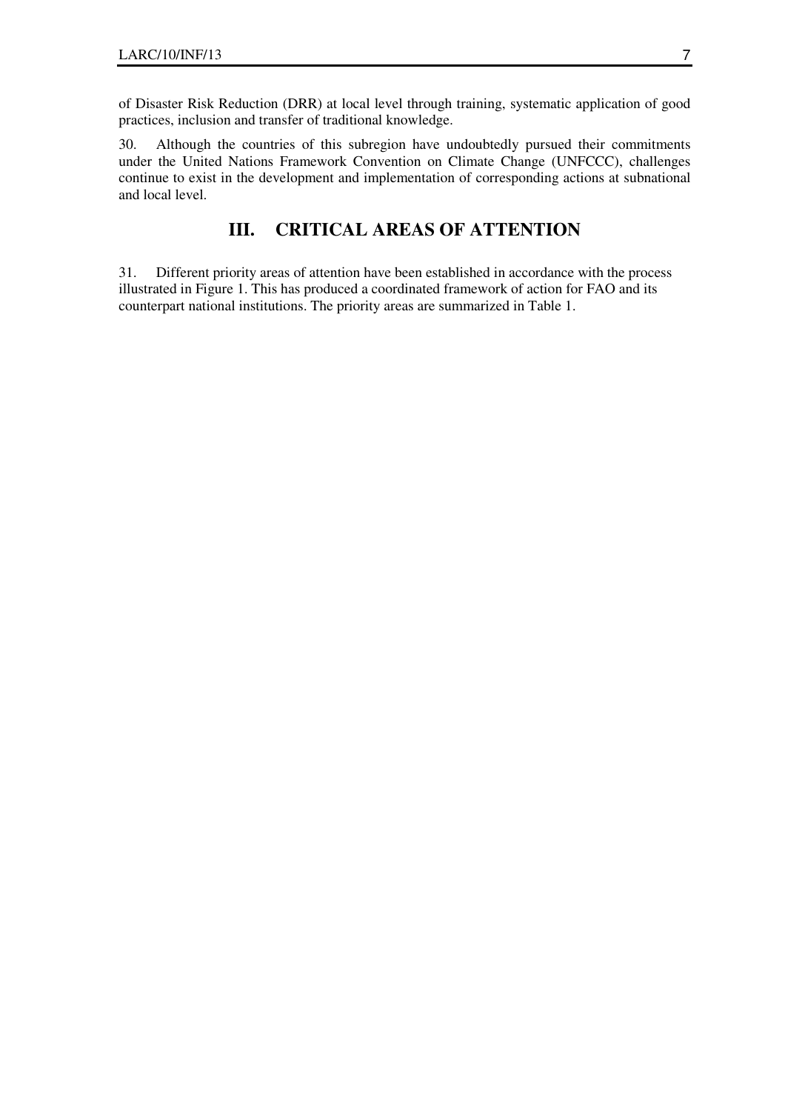of Disaster Risk Reduction (DRR) at local level through training, systematic application of good practices, inclusion and transfer of traditional knowledge.

30. Although the countries of this subregion have undoubtedly pursued their commitments under the United Nations Framework Convention on Climate Change (UNFCCC), challenges continue to exist in the development and implementation of corresponding actions at subnational and local level.

## **III. CRITICAL AREAS OF ATTENTION**

31. Different priority areas of attention have been established in accordance with the process illustrated in Figure 1. This has produced a coordinated framework of action for FAO and its counterpart national institutions. The priority areas are summarized in Table 1.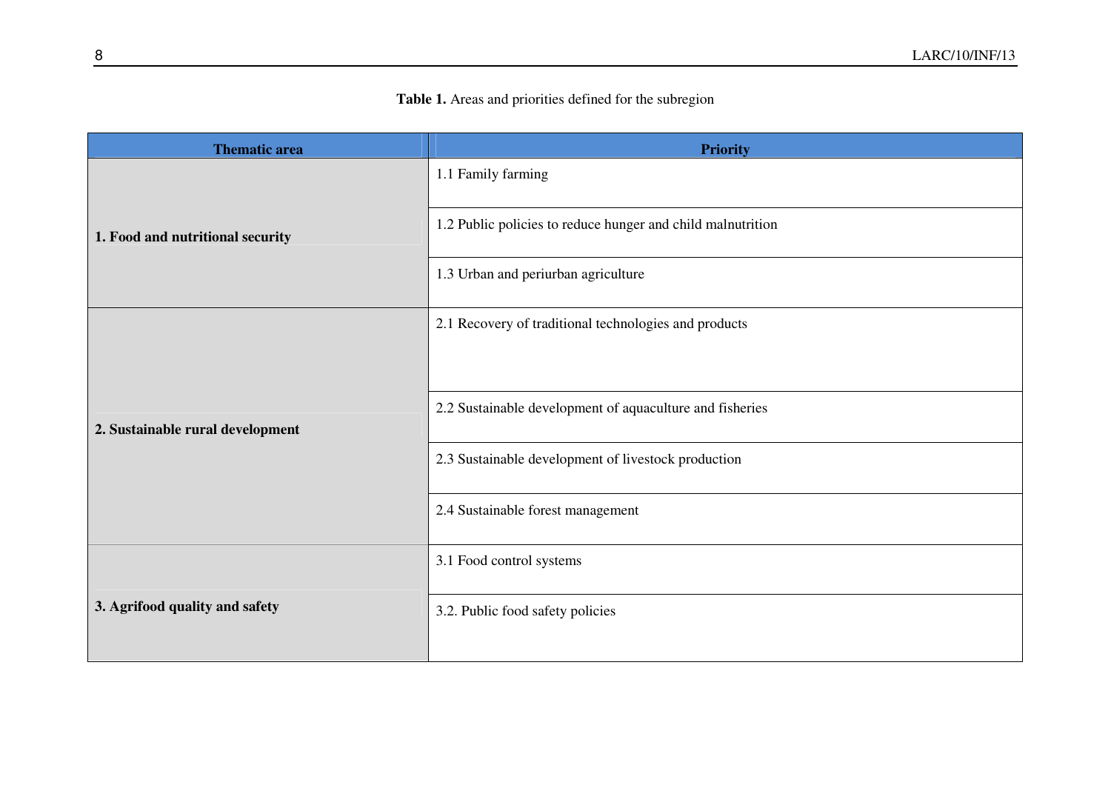### **Table 1.** Areas and priorities defined for the subregion

| <b>Thematic area</b>             | <b>Priority</b>                                             |
|----------------------------------|-------------------------------------------------------------|
| 1. Food and nutritional security | 1.1 Family farming                                          |
|                                  | 1.2 Public policies to reduce hunger and child malnutrition |
|                                  | 1.3 Urban and periurban agriculture                         |
| 2. Sustainable rural development | 2.1 Recovery of traditional technologies and products       |
|                                  |                                                             |
|                                  | 2.2 Sustainable development of aquaculture and fisheries    |
|                                  | 2.3 Sustainable development of livestock production         |
|                                  | 2.4 Sustainable forest management                           |
| 3. Agrifood quality and safety   | 3.1 Food control systems                                    |
|                                  | 3.2. Public food safety policies                            |
|                                  |                                                             |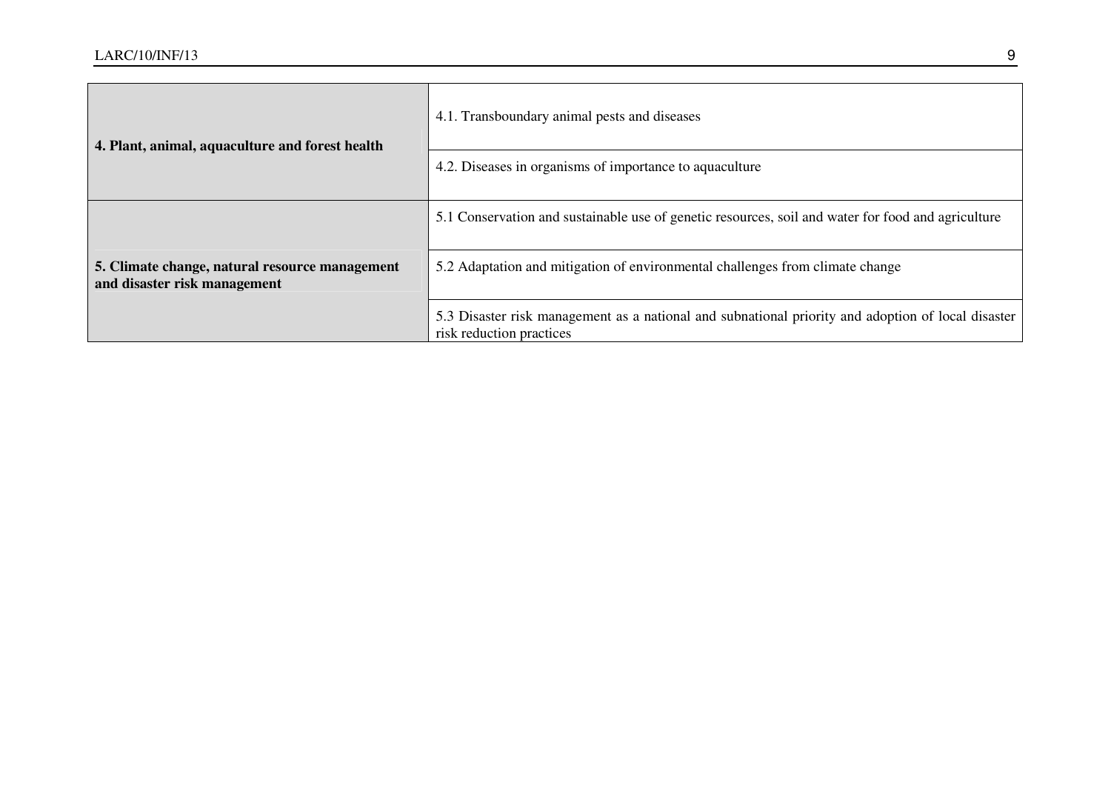| 4. Plant, animal, aquaculture and forest health                                | 4.1. Transboundary animal pests and diseases                                                                                   |
|--------------------------------------------------------------------------------|--------------------------------------------------------------------------------------------------------------------------------|
|                                                                                | 4.2. Diseases in organisms of importance to aquaculture                                                                        |
|                                                                                | 5.1 Conservation and sustainable use of genetic resources, soil and water for food and agriculture                             |
| 5. Climate change, natural resource management<br>and disaster risk management | 5.2 Adaptation and mitigation of environmental challenges from climate change                                                  |
|                                                                                | 5.3 Disaster risk management as a national and subnational priority and adoption of local disaster<br>risk reduction practices |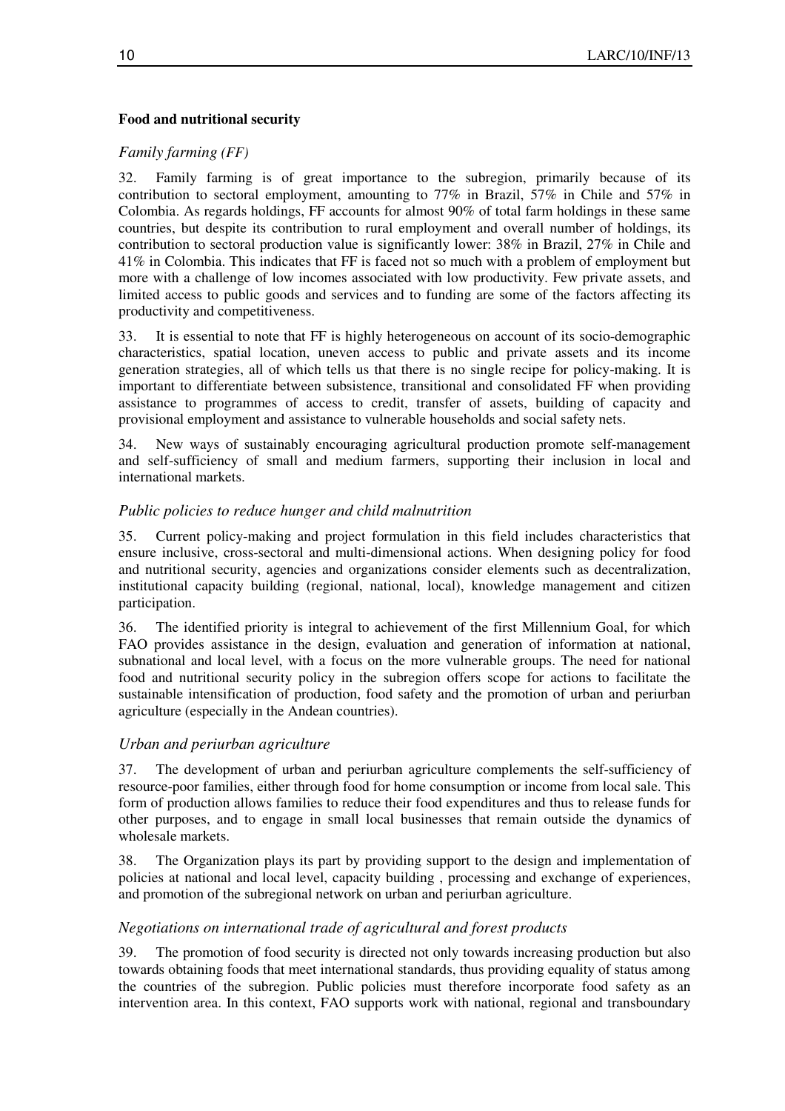### **Food and nutritional security**

## *Family farming (FF)*

32. Family farming is of great importance to the subregion, primarily because of its contribution to sectoral employment, amounting to 77% in Brazil, 57% in Chile and 57% in Colombia. As regards holdings, FF accounts for almost 90% of total farm holdings in these same countries, but despite its contribution to rural employment and overall number of holdings, its contribution to sectoral production value is significantly lower: 38% in Brazil, 27% in Chile and 41% in Colombia. This indicates that FF is faced not so much with a problem of employment but more with a challenge of low incomes associated with low productivity. Few private assets, and limited access to public goods and services and to funding are some of the factors affecting its productivity and competitiveness.

33. It is essential to note that FF is highly heterogeneous on account of its socio-demographic characteristics, spatial location, uneven access to public and private assets and its income generation strategies, all of which tells us that there is no single recipe for policy-making. It is important to differentiate between subsistence, transitional and consolidated FF when providing assistance to programmes of access to credit, transfer of assets, building of capacity and provisional employment and assistance to vulnerable households and social safety nets.

34. New ways of sustainably encouraging agricultural production promote self-management and self-sufficiency of small and medium farmers, supporting their inclusion in local and international markets.

### *Public policies to reduce hunger and child malnutrition*

35. Current policy-making and project formulation in this field includes characteristics that ensure inclusive, cross-sectoral and multi-dimensional actions. When designing policy for food and nutritional security, agencies and organizations consider elements such as decentralization, institutional capacity building (regional, national, local), knowledge management and citizen participation.

36. The identified priority is integral to achievement of the first Millennium Goal, for which FAO provides assistance in the design, evaluation and generation of information at national, subnational and local level, with a focus on the more vulnerable groups. The need for national food and nutritional security policy in the subregion offers scope for actions to facilitate the sustainable intensification of production, food safety and the promotion of urban and periurban agriculture (especially in the Andean countries).

#### *Urban and periurban agriculture*

37. The development of urban and periurban agriculture complements the self-sufficiency of resource-poor families, either through food for home consumption or income from local sale. This form of production allows families to reduce their food expenditures and thus to release funds for other purposes, and to engage in small local businesses that remain outside the dynamics of wholesale markets.

38. The Organization plays its part by providing support to the design and implementation of policies at national and local level, capacity building , processing and exchange of experiences, and promotion of the subregional network on urban and periurban agriculture.

#### *Negotiations on international trade of agricultural and forest products*

39. The promotion of food security is directed not only towards increasing production but also towards obtaining foods that meet international standards, thus providing equality of status among the countries of the subregion. Public policies must therefore incorporate food safety as an intervention area. In this context, FAO supports work with national, regional and transboundary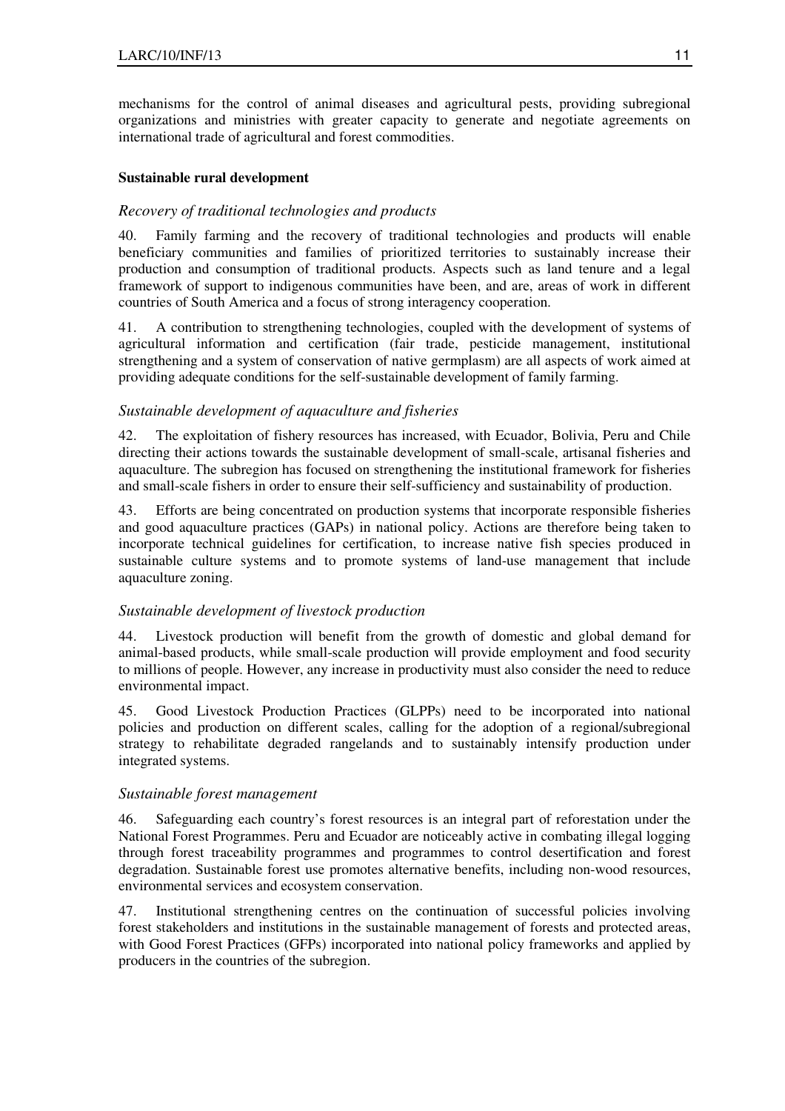mechanisms for the control of animal diseases and agricultural pests, providing subregional organizations and ministries with greater capacity to generate and negotiate agreements on international trade of agricultural and forest commodities.

#### **Sustainable rural development**

## *Recovery of traditional technologies and products*

40. Family farming and the recovery of traditional technologies and products will enable beneficiary communities and families of prioritized territories to sustainably increase their production and consumption of traditional products. Aspects such as land tenure and a legal framework of support to indigenous communities have been, and are, areas of work in different countries of South America and a focus of strong interagency cooperation.

41. A contribution to strengthening technologies, coupled with the development of systems of agricultural information and certification (fair trade, pesticide management, institutional strengthening and a system of conservation of native germplasm) are all aspects of work aimed at providing adequate conditions for the self-sustainable development of family farming.

## *Sustainable development of aquaculture and fisheries*

42. The exploitation of fishery resources has increased, with Ecuador, Bolivia, Peru and Chile directing their actions towards the sustainable development of small-scale, artisanal fisheries and aquaculture. The subregion has focused on strengthening the institutional framework for fisheries and small-scale fishers in order to ensure their self-sufficiency and sustainability of production.

43. Efforts are being concentrated on production systems that incorporate responsible fisheries and good aquaculture practices (GAPs) in national policy. Actions are therefore being taken to incorporate technical guidelines for certification, to increase native fish species produced in sustainable culture systems and to promote systems of land-use management that include aquaculture zoning.

#### *Sustainable development of livestock production*

44. Livestock production will benefit from the growth of domestic and global demand for animal-based products, while small-scale production will provide employment and food security to millions of people. However, any increase in productivity must also consider the need to reduce environmental impact.

45. Good Livestock Production Practices (GLPPs) need to be incorporated into national policies and production on different scales, calling for the adoption of a regional/subregional strategy to rehabilitate degraded rangelands and to sustainably intensify production under integrated systems.

#### *Sustainable forest management*

46. Safeguarding each country's forest resources is an integral part of reforestation under the National Forest Programmes. Peru and Ecuador are noticeably active in combating illegal logging through forest traceability programmes and programmes to control desertification and forest degradation. Sustainable forest use promotes alternative benefits, including non-wood resources, environmental services and ecosystem conservation.

47. Institutional strengthening centres on the continuation of successful policies involving forest stakeholders and institutions in the sustainable management of forests and protected areas, with Good Forest Practices (GFPs) incorporated into national policy frameworks and applied by producers in the countries of the subregion.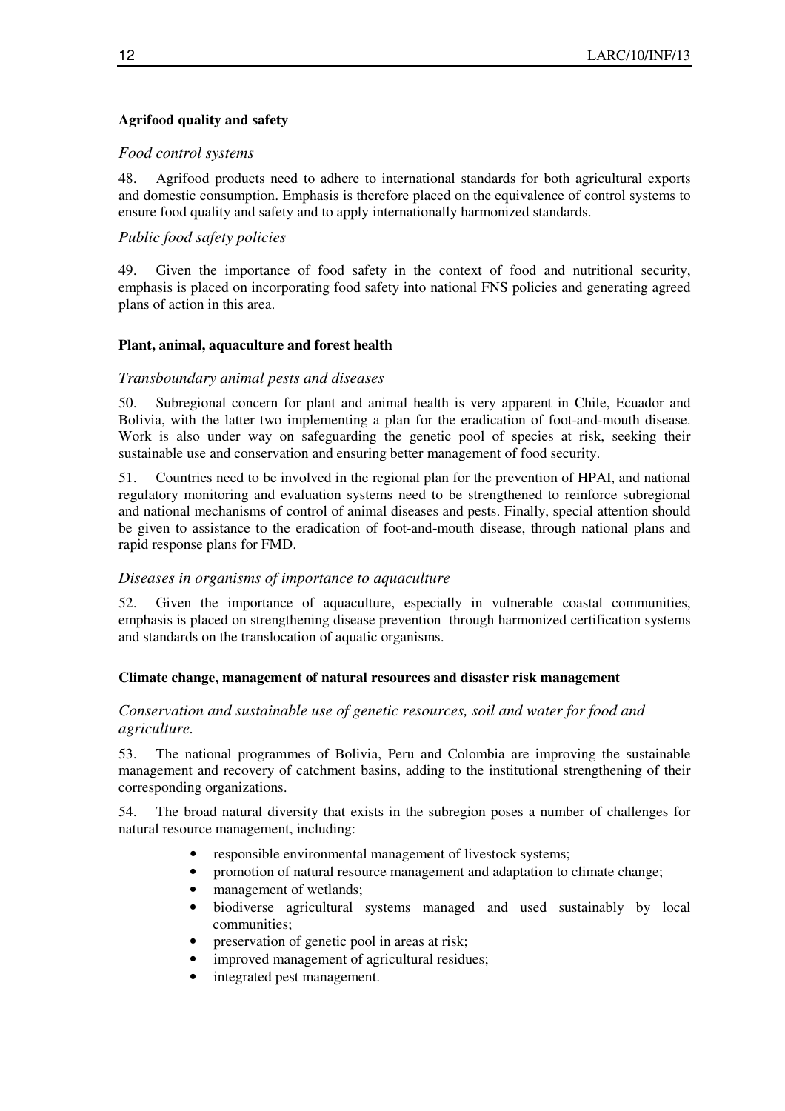## **Agrifood quality and safety**

### *Food control systems*

48. Agrifood products need to adhere to international standards for both agricultural exports and domestic consumption. Emphasis is therefore placed on the equivalence of control systems to ensure food quality and safety and to apply internationally harmonized standards.

## *Public food safety policies*

49. Given the importance of food safety in the context of food and nutritional security, emphasis is placed on incorporating food safety into national FNS policies and generating agreed plans of action in this area.

### **Plant, animal, aquaculture and forest health**

### *Transboundary animal pests and diseases*

50. Subregional concern for plant and animal health is very apparent in Chile, Ecuador and Bolivia, with the latter two implementing a plan for the eradication of foot-and-mouth disease. Work is also under way on safeguarding the genetic pool of species at risk, seeking their sustainable use and conservation and ensuring better management of food security.

51. Countries need to be involved in the regional plan for the prevention of HPAI, and national regulatory monitoring and evaluation systems need to be strengthened to reinforce subregional and national mechanisms of control of animal diseases and pests. Finally, special attention should be given to assistance to the eradication of foot-and-mouth disease, through national plans and rapid response plans for FMD.

#### *Diseases in organisms of importance to aquaculture*

52. Given the importance of aquaculture, especially in vulnerable coastal communities, emphasis is placed on strengthening disease prevention through harmonized certification systems and standards on the translocation of aquatic organisms.

#### **Climate change, management of natural resources and disaster risk management**

### *Conservation and sustainable use of genetic resources, soil and water for food and agriculture.*

53. The national programmes of Bolivia, Peru and Colombia are improving the sustainable management and recovery of catchment basins, adding to the institutional strengthening of their corresponding organizations.

54. The broad natural diversity that exists in the subregion poses a number of challenges for natural resource management, including:

- responsible environmental management of livestock systems;
- promotion of natural resource management and adaptation to climate change;
- management of wetlands;
- biodiverse agricultural systems managed and used sustainably by local communities;
- preservation of genetic pool in areas at risk;
- improved management of agricultural residues;
- integrated pest management.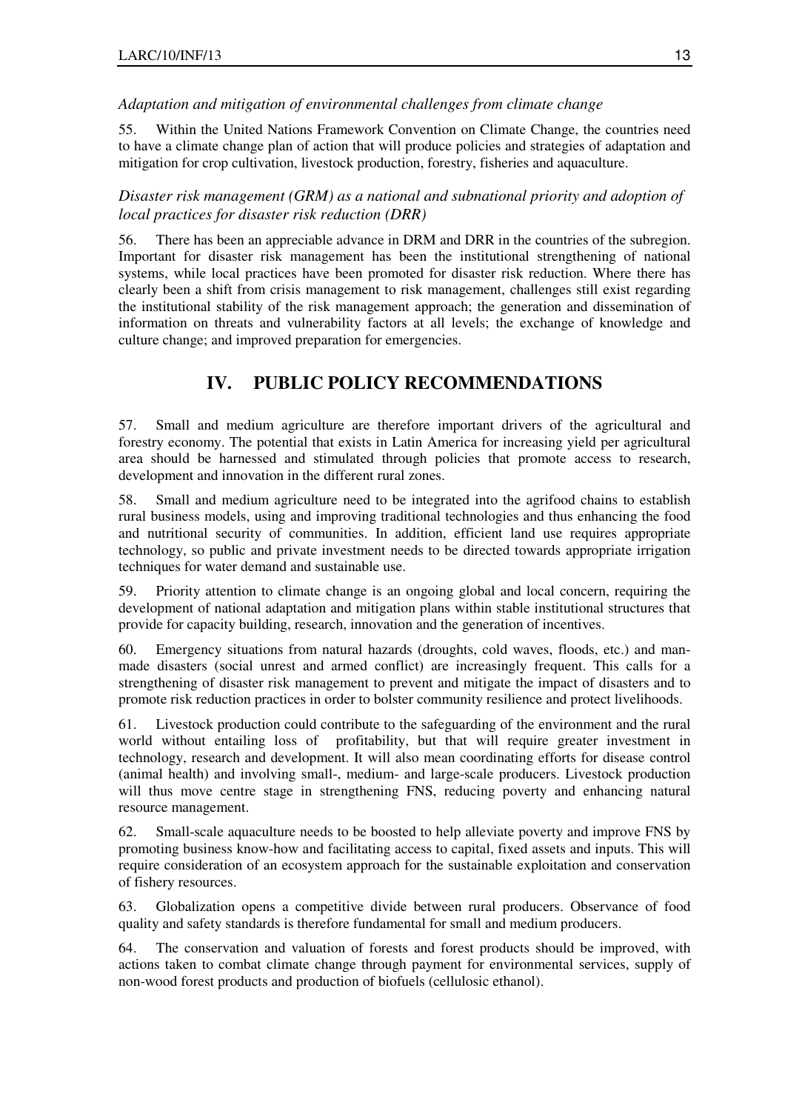## *Adaptation and mitigation of environmental challenges from climate change*

55. Within the United Nations Framework Convention on Climate Change, the countries need to have a climate change plan of action that will produce policies and strategies of adaptation and mitigation for crop cultivation, livestock production, forestry, fisheries and aquaculture.

*Disaster risk management (GRM) as a national and subnational priority and adoption of local practices for disaster risk reduction (DRR)* 

56. There has been an appreciable advance in DRM and DRR in the countries of the subregion. Important for disaster risk management has been the institutional strengthening of national systems, while local practices have been promoted for disaster risk reduction. Where there has clearly been a shift from crisis management to risk management, challenges still exist regarding the institutional stability of the risk management approach; the generation and dissemination of information on threats and vulnerability factors at all levels; the exchange of knowledge and culture change; and improved preparation for emergencies.

## **IV. PUBLIC POLICY RECOMMENDATIONS**

57. Small and medium agriculture are therefore important drivers of the agricultural and forestry economy. The potential that exists in Latin America for increasing yield per agricultural area should be harnessed and stimulated through policies that promote access to research, development and innovation in the different rural zones.

58. Small and medium agriculture need to be integrated into the agrifood chains to establish rural business models, using and improving traditional technologies and thus enhancing the food and nutritional security of communities. In addition, efficient land use requires appropriate technology, so public and private investment needs to be directed towards appropriate irrigation techniques for water demand and sustainable use.

59. Priority attention to climate change is an ongoing global and local concern, requiring the development of national adaptation and mitigation plans within stable institutional structures that provide for capacity building, research, innovation and the generation of incentives.

60. Emergency situations from natural hazards (droughts, cold waves, floods, etc.) and manmade disasters (social unrest and armed conflict) are increasingly frequent. This calls for a strengthening of disaster risk management to prevent and mitigate the impact of disasters and to promote risk reduction practices in order to bolster community resilience and protect livelihoods.

61. Livestock production could contribute to the safeguarding of the environment and the rural world without entailing loss of profitability, but that will require greater investment in technology, research and development. It will also mean coordinating efforts for disease control (animal health) and involving small-, medium- and large-scale producers. Livestock production will thus move centre stage in strengthening FNS, reducing poverty and enhancing natural resource management.

62. Small-scale aquaculture needs to be boosted to help alleviate poverty and improve FNS by promoting business know-how and facilitating access to capital, fixed assets and inputs. This will require consideration of an ecosystem approach for the sustainable exploitation and conservation of fishery resources.

63. Globalization opens a competitive divide between rural producers. Observance of food quality and safety standards is therefore fundamental for small and medium producers.

64. The conservation and valuation of forests and forest products should be improved, with actions taken to combat climate change through payment for environmental services, supply of non-wood forest products and production of biofuels (cellulosic ethanol).